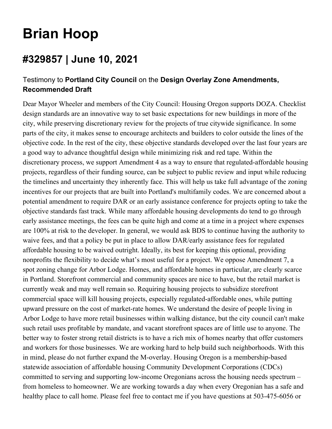## **Brian Hoop**

## **#329857 | June 10, 2021**

## Testimony to **Portland City Council** on the **Design Overlay Zone Amendments, Recommended Draft**

Dear Mayor Wheeler and members of the City Council: Housing Oregon supports DOZA. Checklist design standards are an innovative way to set basic expectations for new buildings in more of the city, while preserving discretionary review for the projects of true citywide significance. In some parts of the city, it makes sense to encourage architects and builders to color outside the lines of the objective code. In the rest of the city, these objective standards developed over the last four years are a good way to advance thoughtful design while minimizing risk and red tape. Within the discretionary process, we support Amendment 4 as a way to ensure that regulated-affordable housing projects, regardless of their funding source, can be subject to public review and input while reducing the timelines and uncertainty they inherently face. This will help us take full advantage of the zoning incentives for our projects that are built into Portland's multifamily codes. We are concerned about a potential amendment to require DAR or an early assistance conference for projects opting to take the objective standards fast track. While many affordable housing developments do tend to go through early assistance meetings, the fees can be quite high and come at a time in a project where expenses are 100% at risk to the developer. In general, we would ask BDS to continue having the authority to waive fees, and that a policy be put in place to allow DAR/early assistance fees for regulated affordable housing to be waived outright. Ideally, its best for keeping this optional, providing nonprofits the flexibility to decide what's most useful for a project. We oppose Amendment 7, a spot zoning change for Arbor Lodge. Homes, and affordable homes in particular, are clearly scarce in Portland. Storefront commercial and community spaces are nice to have, but the retail market is currently weak and may well remain so. Requiring housing projects to subsidize storefront commercial space will kill housing projects, especially regulated-affordable ones, while putting upward pressure on the cost of market-rate homes. We understand the desire of people living in Arbor Lodge to have more retail businesses within walking distance, but the city council can't make such retail uses profitable by mandate, and vacant storefront spaces are of little use to anyone. The better way to foster strong retail districts is to have a rich mix of homes nearby that offer customers and workers for those businesses. We are working hard to help build such neighborhoods. With this in mind, please do not further expand the M-overlay. Housing Oregon is a membership-based statewide association of affordable housing Community Development Corporations (CDCs) committed to serving and supporting low-income Oregonians across the housing needs spectrum – from homeless to homeowner. We are working towards a day when every Oregonian has a safe and healthy place to call home. Please feel free to contact me if you have questions at 503-475-6056 or